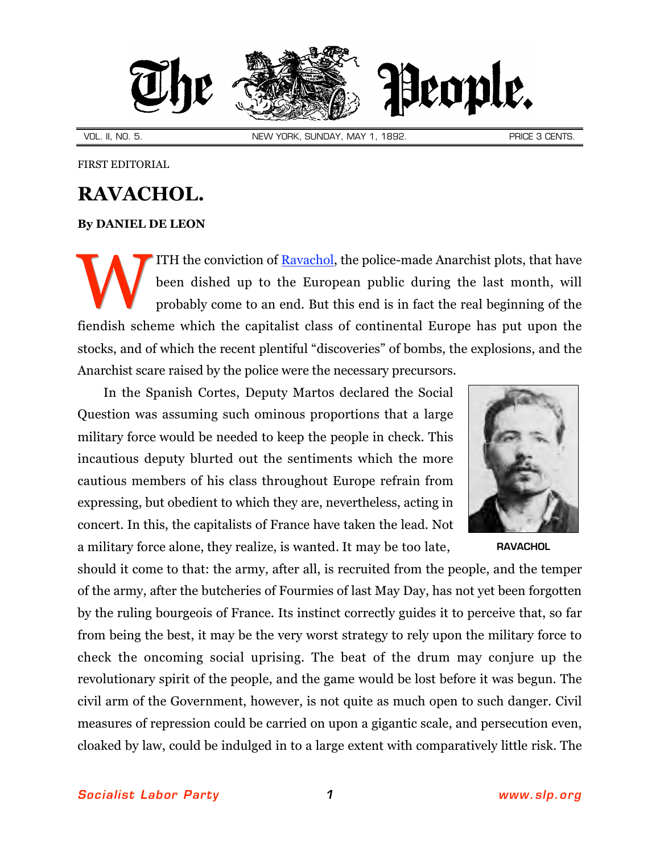

VOL. II, NO. 5. NEW YORK, SUNDAY, MAY 1, 1892. NEW PRICE 3 CENTS.

FIRST EDITORIAL

## **RAVACHOL.**

## **By [DANIEL DE LEON](http://slp.org/De_Leon.htm)**

ITH the conviction of [Ravachol,](http://www.marxists.org/reference/archive/ravachol/biography.htm) the police-made Anarchist plots, that have been dished up to the European public during the last month, will probably come to an end. But this end is in fact the real beginning of the fiendish scheme which the capitalist class of continental Europe has put upon the stocks, and of which the recent plentiful "discoveries" of bombs, the explosions, and the Anarchist scare raised by the police were the necessary precursors. W

In the Spanish Cortes, Deputy Martos declared the Social Question was assuming such ominous proportions that a large military force would be needed to keep the people in check. This incautious deputy blurted out the sentiments which the more cautious members of his class throughout Europe refrain from expressing, but obedient to which they are, nevertheless, acting in concert. In this, the capitalists of France have taken the lead. Not a military force alone, they realize, is wanted. It may be too late, [RAVACHOL](http://www.marxists.org/reference/archive/ravachol/biography.htm)



should it come to that: the army, after all, is recruited from the people, and the temper of the army, after the butcheries of Fourmies of last May Day, has not yet been forgotten by the ruling bourgeois of France. Its instinct correctly guides it to perceive that, so far from being the best, it may be the very worst strategy to rely upon the military force to check the oncoming social uprising. The beat of the drum may conjure up the revolutionary spirit of the people, and the game would be lost before it was begun. The civil arm of the Government, however, is not quite as much open to such danger. Civil measures of repression could be carried on upon a gigantic scale, and persecution even, cloaked by law, could be indulged in to a large extent with comparatively little risk. The